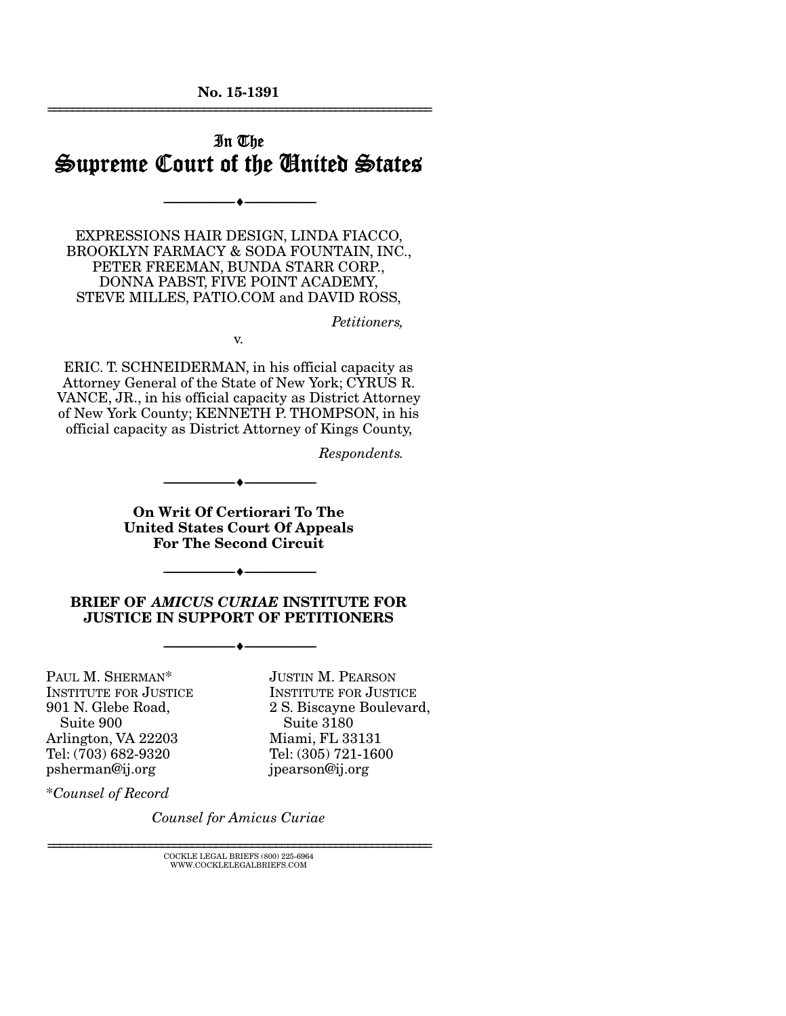No. 15-1391 ================================================================

## In The Supreme Court of the United States

--------------------------------- i ---------------------------------

EXPRESSIONS HAIR DESIGN, LINDA FIACCO, BROOKLYN FARMACY & SODA FOUNTAIN, INC., PETER FREEMAN, BUNDA STARR CORP., DONNA PABST, FIVE POINT ACADEMY, STEVE MILLES, PATIO.COM and DAVID ROSS,

*Petitioners,* 

v.

ERIC. T. SCHNEIDERMAN, in his official capacity as Attorney General of the State of New York; CYRUS R. VANCE, JR., in his official capacity as District Attorney of New York County; KENNETH P. THOMPSON, in his official capacity as District Attorney of Kings County,

*Respondents.* 

On Writ Of Certiorari To The United States Court Of Appeals For The Second Circuit

--------------------------------- i ---------------------------------

#### BRIEF OF *AMICUS CURIAE* INSTITUTE FOR JUSTICE IN SUPPORT OF PETITIONERS

--------------------------------- i ---------------------------------

--------------------------------- i ---------------------------------

PAUL M. SHERMAN\* INSTITUTE FOR JUSTICE 901 N. Glebe Road, Suite 900 Arlington, VA 22203 Tel: (703) 682-9320 psherman@ij.org

JUSTIN M. PEARSON INSTITUTE FOR JUSTICE 2 S. Biscayne Boulevard, Suite 3180 Miami, FL 33131 Tel: (305) 721-1600 jpearson@ij.org

\**Counsel of Record*

*Counsel for Amicus Curiae* 

 ${\rm COCKLE}$ LEGAL BRIEFS $(800)$  225-6964 WWW.COCKLELEGALBRIEFS.COM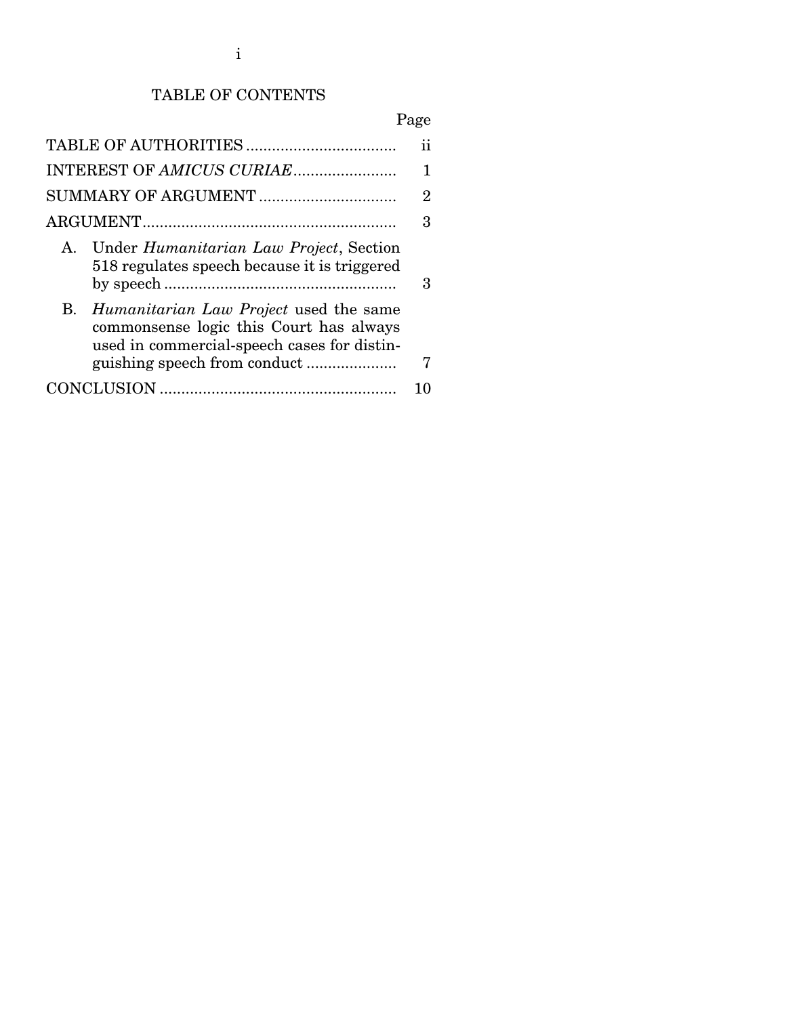# TABLE OF CONTENTS

# Page

| INTEREST OF AMICUS CURIAE                                                                                                                     |   |
|-----------------------------------------------------------------------------------------------------------------------------------------------|---|
|                                                                                                                                               | 2 |
|                                                                                                                                               | 3 |
| Under Humanitarian Law Project, Section<br>$\mathbf{A}$<br>518 regulates speech because it is triggered                                       | 3 |
| <i>Humanitarian Law Project</i> used the same<br>В.<br>commonsense logic this Court has always<br>used in commercial-speech cases for distin- | 7 |
|                                                                                                                                               |   |
|                                                                                                                                               |   |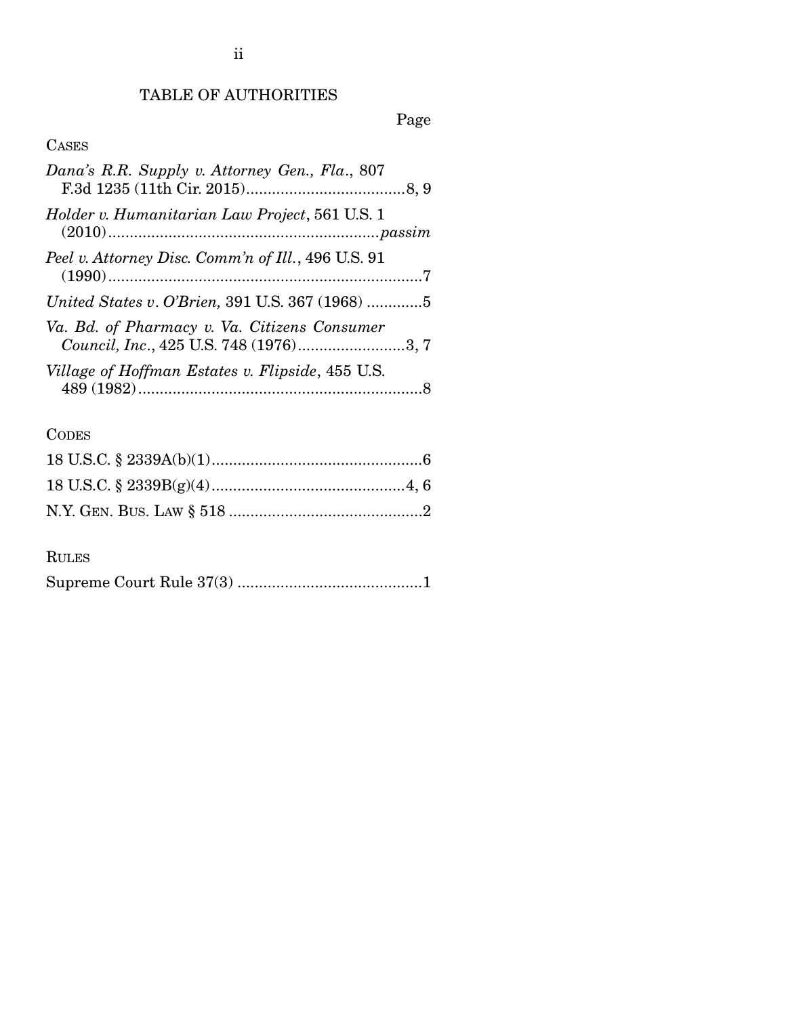## TABLE OF AUTHORITIES

# Page

## CASES

| Dana's R.R. Supply v. Attorney Gen., Fla., 807                                         |  |
|----------------------------------------------------------------------------------------|--|
| Holder v. Humanitarian Law Project, 561 U.S. 1                                         |  |
| Peel v. Attorney Disc. Comm'n of Ill., 496 U.S. 91                                     |  |
| United States v. O'Brien, 391 U.S. 367 (1968) 5                                        |  |
| Va. Bd. of Pharmacy v. Va. Citizens Consumer<br>Council, Inc., 425 U.S. 748 (1976)3, 7 |  |
| Village of Hoffman Estates v. Flipside, 455 U.S.                                       |  |
|                                                                                        |  |

# **CODES**

### RULES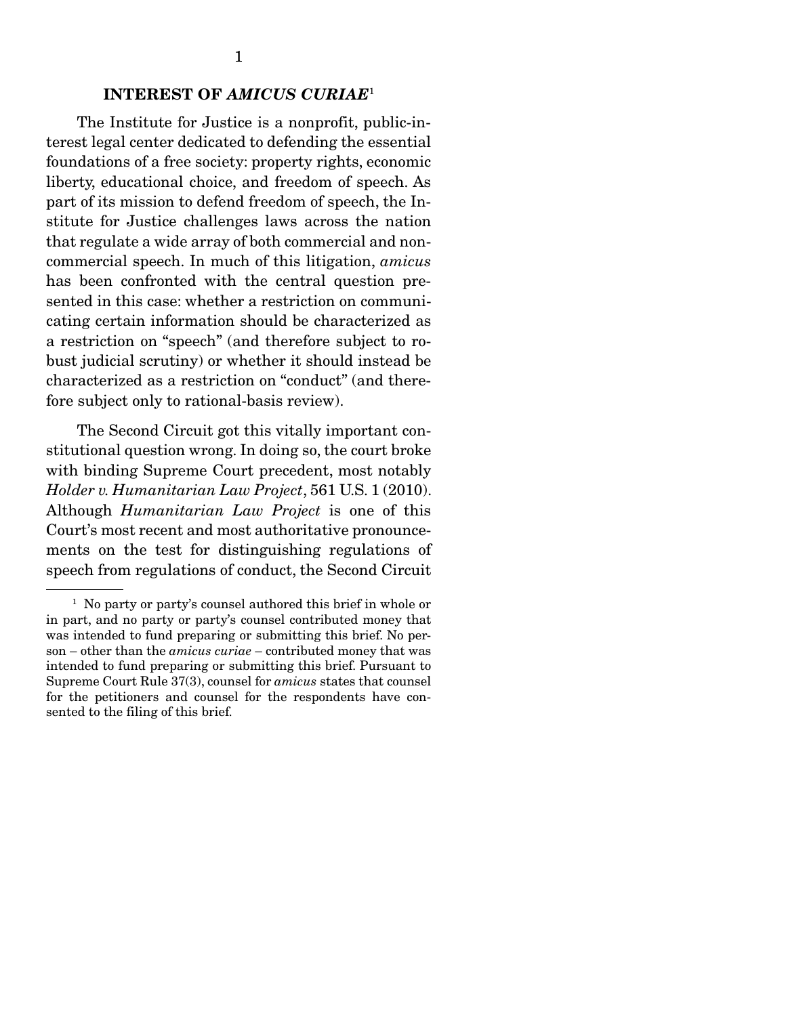#### INTEREST OF *AMICUS CURIAE*<sup>1</sup>

 The Institute for Justice is a nonprofit, public-interest legal center dedicated to defending the essential foundations of a free society: property rights, economic liberty, educational choice, and freedom of speech. As part of its mission to defend freedom of speech, the Institute for Justice challenges laws across the nation that regulate a wide array of both commercial and noncommercial speech. In much of this litigation, *amicus* has been confronted with the central question presented in this case: whether a restriction on communicating certain information should be characterized as a restriction on "speech" (and therefore subject to robust judicial scrutiny) or whether it should instead be characterized as a restriction on "conduct" (and therefore subject only to rational-basis review).

 The Second Circuit got this vitally important constitutional question wrong. In doing so, the court broke with binding Supreme Court precedent, most notably *Holder v. Humanitarian Law Project*, 561 U.S. 1 (2010). Although *Humanitarian Law Project* is one of this Court's most recent and most authoritative pronouncements on the test for distinguishing regulations of speech from regulations of conduct, the Second Circuit

<sup>&</sup>lt;sup>1</sup> No party or party's counsel authored this brief in whole or in part, and no party or party's counsel contributed money that was intended to fund preparing or submitting this brief. No person – other than the *amicus curiae* – contributed money that was intended to fund preparing or submitting this brief. Pursuant to Supreme Court Rule 37(3), counsel for *amicus* states that counsel for the petitioners and counsel for the respondents have consented to the filing of this brief.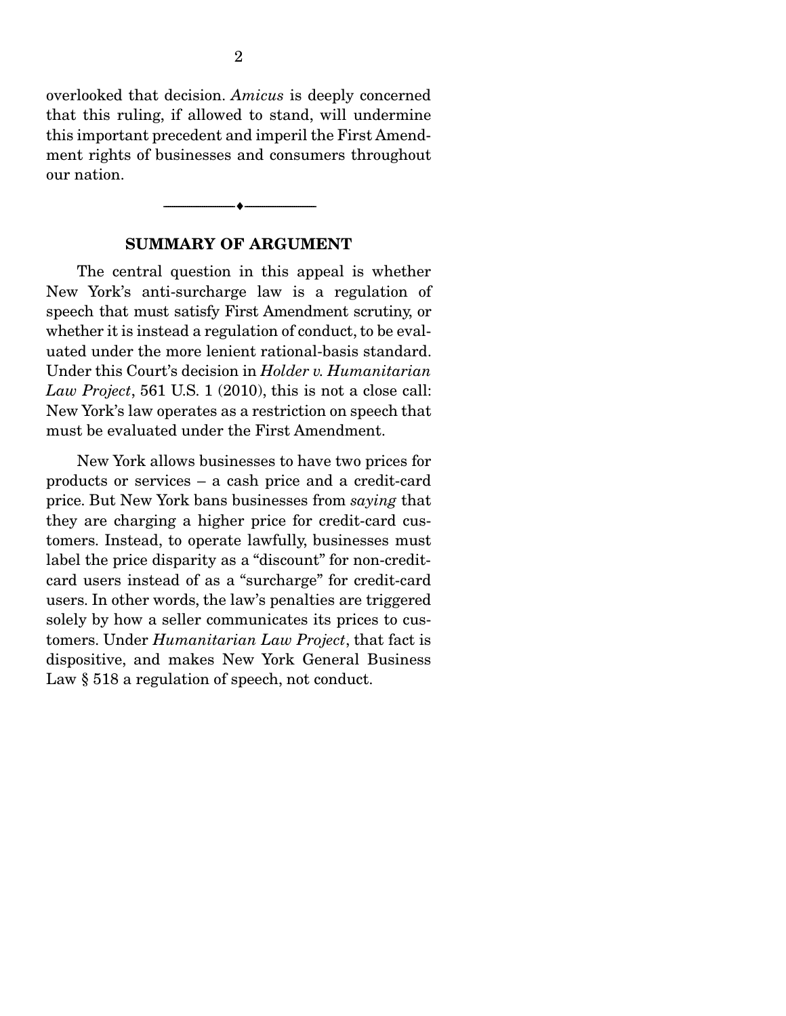overlooked that decision. *Amicus* is deeply concerned that this ruling, if allowed to stand, will undermine this important precedent and imperil the First Amendment rights of businesses and consumers throughout our nation.

#### SUMMARY OF ARGUMENT

--------------------------------- i ---------------------------------

 The central question in this appeal is whether New York's anti-surcharge law is a regulation of speech that must satisfy First Amendment scrutiny, or whether it is instead a regulation of conduct, to be evaluated under the more lenient rational-basis standard. Under this Court's decision in *Holder v. Humanitarian Law Project*, 561 U.S. 1 (2010), this is not a close call: New York's law operates as a restriction on speech that must be evaluated under the First Amendment.

 New York allows businesses to have two prices for products or services – a cash price and a credit-card price. But New York bans businesses from *saying* that they are charging a higher price for credit-card customers. Instead, to operate lawfully, businesses must label the price disparity as a "discount" for non-creditcard users instead of as a "surcharge" for credit-card users. In other words, the law's penalties are triggered solely by how a seller communicates its prices to customers. Under *Humanitarian Law Project*, that fact is dispositive, and makes New York General Business Law  $\S 518$  a regulation of speech, not conduct.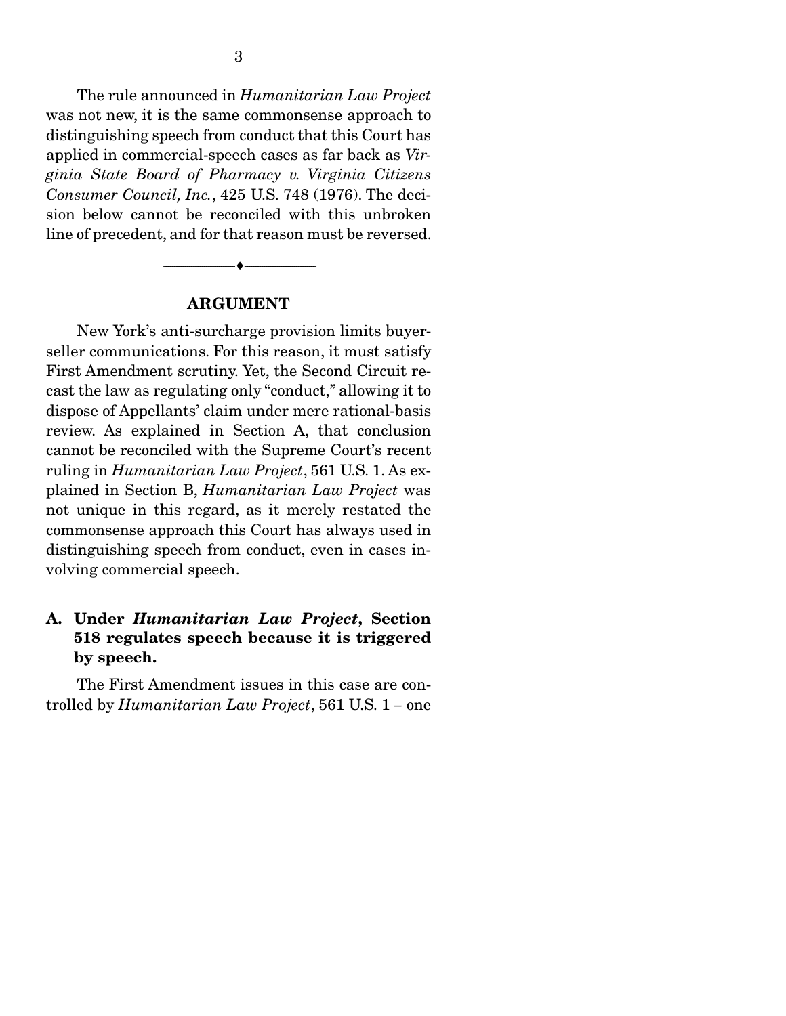The rule announced in *Humanitarian Law Project*  was not new, it is the same commonsense approach to distinguishing speech from conduct that this Court has applied in commercial-speech cases as far back as *Virginia State Board of Pharmacy v. Virginia Citizens Consumer Council, Inc.*, 425 U.S. 748 (1976). The decision below cannot be reconciled with this unbroken line of precedent, and for that reason must be reversed.

#### ARGUMENT

--------------------------------- i ---------------------------------

 New York's anti-surcharge provision limits buyerseller communications. For this reason, it must satisfy First Amendment scrutiny. Yet, the Second Circuit recast the law as regulating only "conduct," allowing it to dispose of Appellants' claim under mere rational-basis review. As explained in Section A, that conclusion cannot be reconciled with the Supreme Court's recent ruling in *Humanitarian Law Project*, 561 U.S. 1. As explained in Section B, *Humanitarian Law Project* was not unique in this regard, as it merely restated the commonsense approach this Court has always used in distinguishing speech from conduct, even in cases involving commercial speech.

### A. Under *Humanitarian Law Project*, Section 518 regulates speech because it is triggered by speech.

 The First Amendment issues in this case are controlled by *Humanitarian Law Project*, 561 U.S. 1 *–* one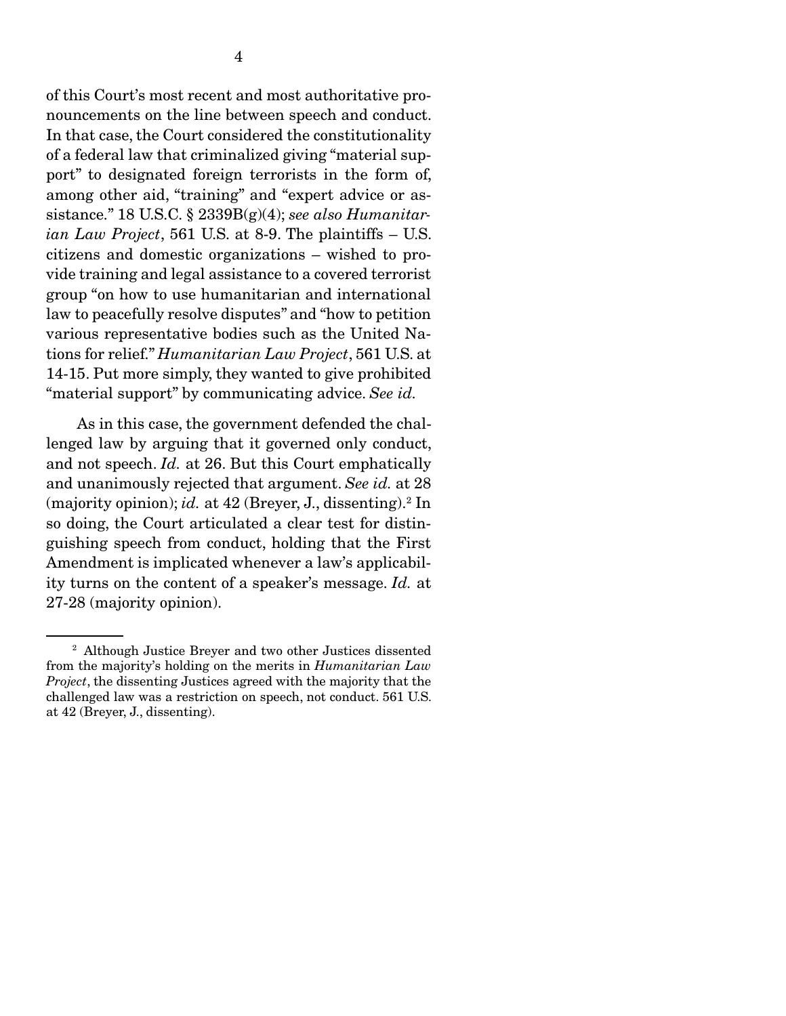of this Court's most recent and most authoritative pronouncements on the line between speech and conduct. In that case, the Court considered the constitutionality of a federal law that criminalized giving "material support" to designated foreign terrorists in the form of, among other aid, "training" and "expert advice or assistance." 18 U.S.C. § 2339B(g)(4); *see also Humanitarian Law Project*, 561 U.S. at 8-9. The plaintiffs – U.S. citizens and domestic organizations – wished to provide training and legal assistance to a covered terrorist group "on how to use humanitarian and international law to peacefully resolve disputes" and "how to petition various representative bodies such as the United Nations for relief." *Humanitarian Law Project*, 561 U.S. at 14-15. Put more simply, they wanted to give prohibited "material support" by communicating advice. *See id.*

 As in this case, the government defended the challenged law by arguing that it governed only conduct, and not speech. *Id.* at 26. But this Court emphatically and unanimously rejected that argument. *See id.* at 28 (majority opinion); *id.* at 42 (Breyer, J., dissenting).2 In so doing, the Court articulated a clear test for distinguishing speech from conduct, holding that the First Amendment is implicated whenever a law's applicability turns on the content of a speaker's message. *Id.* at 27-28 (majority opinion).

<sup>2</sup> Although Justice Breyer and two other Justices dissented from the majority's holding on the merits in *Humanitarian Law Project*, the dissenting Justices agreed with the majority that the challenged law was a restriction on speech, not conduct. 561 U.S. at 42 (Breyer, J., dissenting).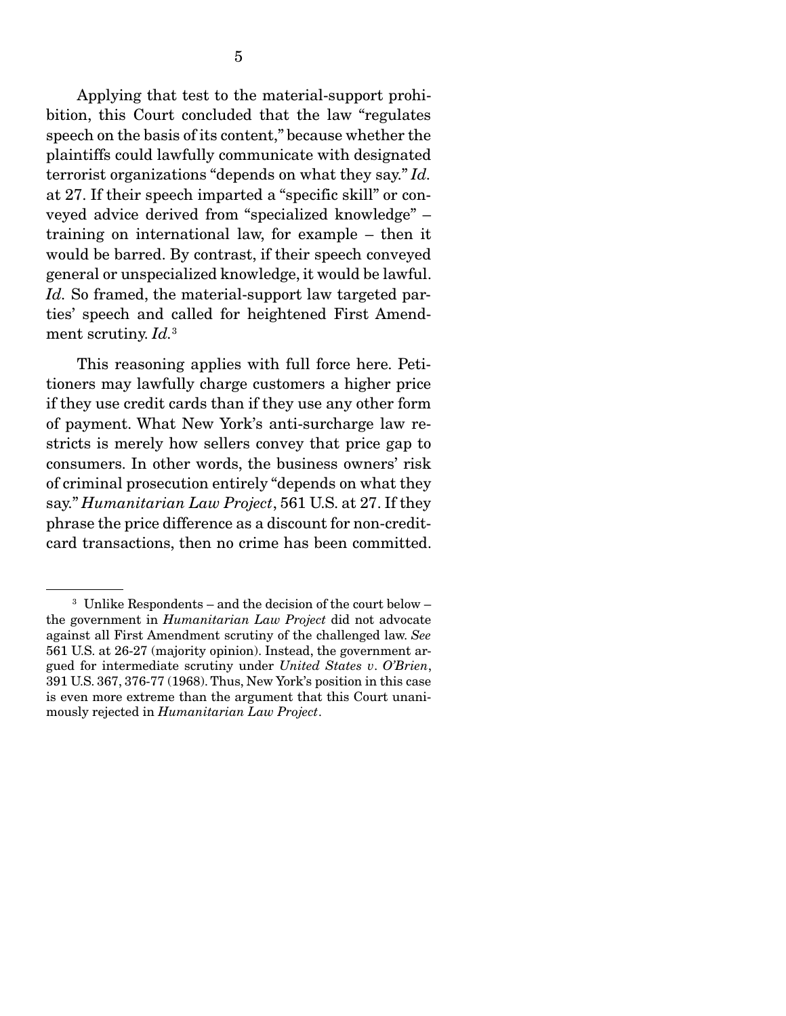Applying that test to the material-support prohibition, this Court concluded that the law "regulates speech on the basis of its content," because whether the plaintiffs could lawfully communicate with designated terrorist organizations "depends on what they say." *Id.* at 27. If their speech imparted a "specific skill" or conveyed advice derived from "specialized knowledge" – training on international law, for example – then it would be barred. By contrast, if their speech conveyed general or unspecialized knowledge, it would be lawful. Id. So framed, the material-support law targeted parties' speech and called for heightened First Amendment scrutiny. *Id.*<sup>3</sup> 

This reasoning applies with full force here. Petitioners may lawfully charge customers a higher price if they use credit cards than if they use any other form of payment. What New York's anti-surcharge law restricts is merely how sellers convey that price gap to consumers. In other words, the business owners' risk of criminal prosecution entirely "depends on what they say." *Humanitarian Law Project*, 561 U.S. at 27. If they phrase the price difference as a discount for non-creditcard transactions, then no crime has been committed.

<sup>3</sup> Unlike Respondents – and the decision of the court below – the government in *Humanitarian Law Project* did not advocate against all First Amendment scrutiny of the challenged law. *See*  561 U.S. at 26-27 (majority opinion). Instead, the government argued for intermediate scrutiny under *United States v*. *O'Brien*, 391 U.S. 367, 376-77 (1968). Thus, New York's position in this case is even more extreme than the argument that this Court unanimously rejected in *Humanitarian Law Project*.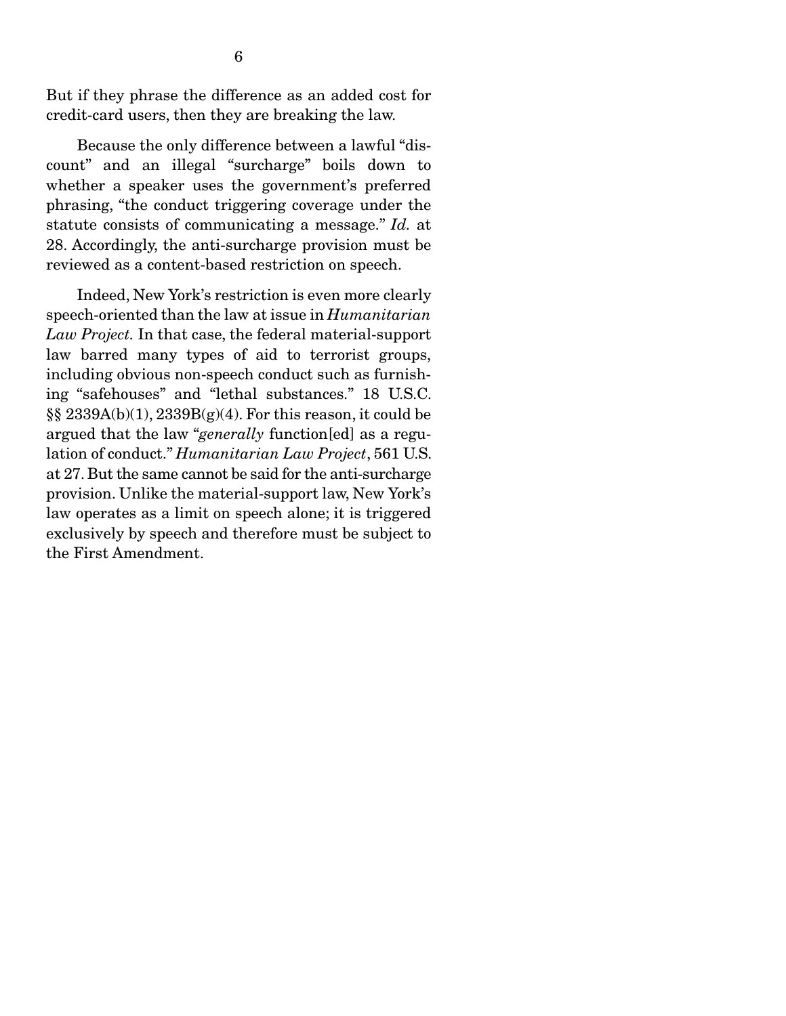But if they phrase the difference as an added cost for credit-card users, then they are breaking the law.

 Because the only difference between a lawful "discount" and an illegal "surcharge" boils down to whether a speaker uses the government's preferred phrasing, "the conduct triggering coverage under the statute consists of communicating a message." *Id.* at 28. Accordingly, the anti-surcharge provision must be reviewed as a content-based restriction on speech.

 Indeed, New York's restriction is even more clearly speech-oriented than the law at issue in *Humanitarian Law Project.* In that case, the federal material-support law barred many types of aid to terrorist groups, including obvious non-speech conduct such as furnishing "safehouses" and "lethal substances." 18 U.S.C. §§ 2339A(b)(1), 2339B(g)(4). For this reason, it could be argued that the law "*generally* function[ed] as a regulation of conduct." *Humanitarian Law Project*, 561 U.S. at 27. But the same cannot be said for the anti-surcharge provision. Unlike the material-support law, New York's law operates as a limit on speech alone; it is triggered exclusively by speech and therefore must be subject to the First Amendment.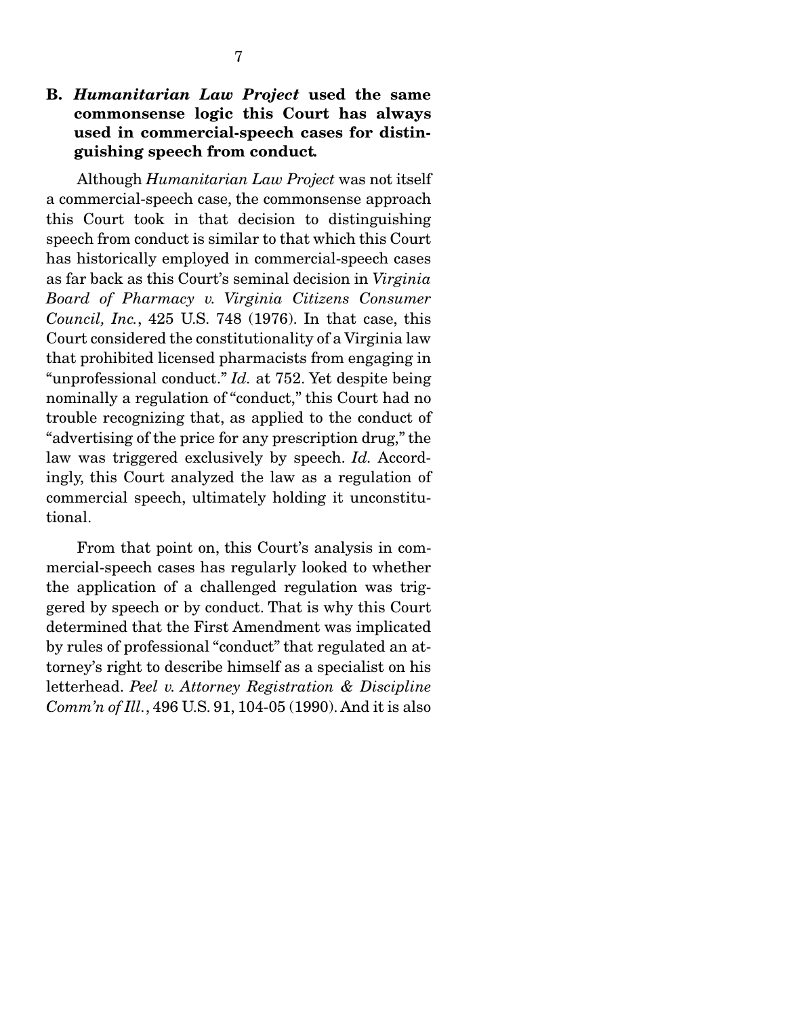Although *Humanitarian Law Project* was not itself a commercial-speech case, the commonsense approach this Court took in that decision to distinguishing speech from conduct is similar to that which this Court has historically employed in commercial-speech cases as far back as this Court's seminal decision in *Virginia Board of Pharmacy v. Virginia Citizens Consumer Council, Inc.*, 425 U.S. 748 (1976). In that case, this Court considered the constitutionality of a Virginia law that prohibited licensed pharmacists from engaging in "unprofessional conduct." *Id.* at 752. Yet despite being nominally a regulation of "conduct," this Court had no trouble recognizing that, as applied to the conduct of "advertising of the price for any prescription drug," the law was triggered exclusively by speech. *Id.* Accordingly, this Court analyzed the law as a regulation of commercial speech, ultimately holding it unconstitutional.

 From that point on, this Court's analysis in commercial-speech cases has regularly looked to whether the application of a challenged regulation was triggered by speech or by conduct. That is why this Court determined that the First Amendment was implicated by rules of professional "conduct" that regulated an attorney's right to describe himself as a specialist on his letterhead. *Peel v. Attorney Registration & Discipline Comm'n of Ill.*, 496 U.S. 91, 104-05 (1990). And it is also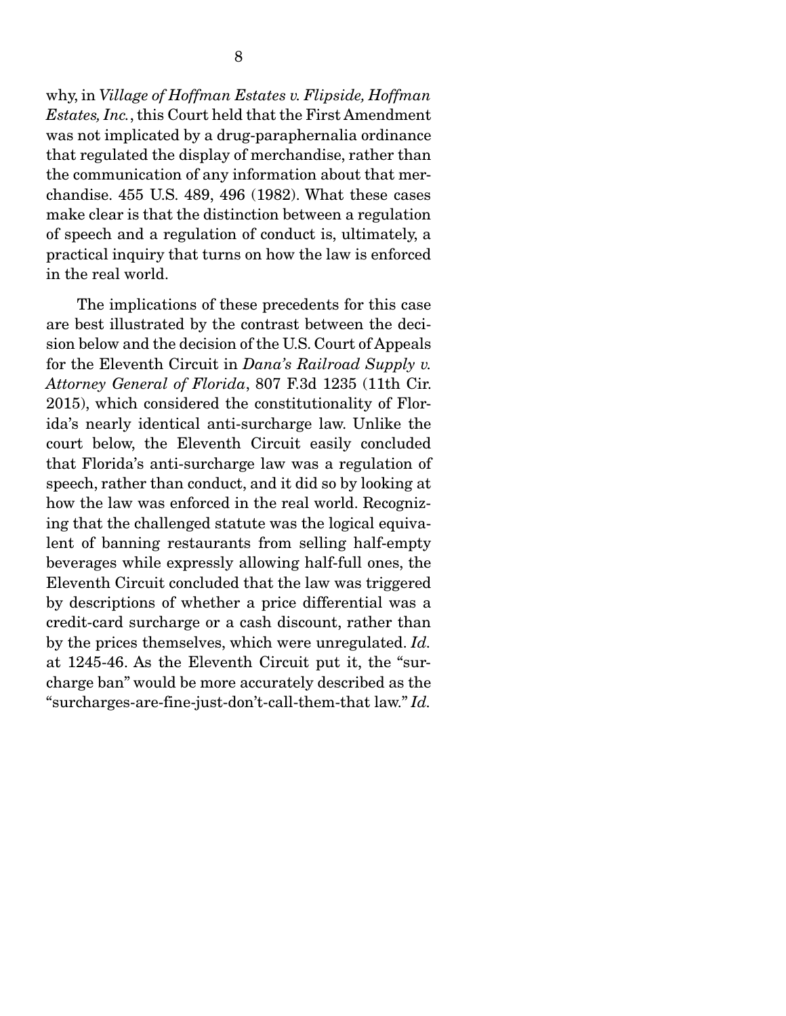why, in *Village of Hoffman Estates v. Flipside, Hoffman Estates, Inc.*, this Court held that the First Amendment was not implicated by a drug-paraphernalia ordinance that regulated the display of merchandise, rather than the communication of any information about that merchandise. 455 U.S. 489, 496 (1982). What these cases make clear is that the distinction between a regulation of speech and a regulation of conduct is, ultimately, a practical inquiry that turns on how the law is enforced in the real world.

 The implications of these precedents for this case are best illustrated by the contrast between the decision below and the decision of the U.S. Court of Appeals for the Eleventh Circuit in *Dana's Railroad Supply v. Attorney General of Florida*, 807 F.3d 1235 (11th Cir. 2015), which considered the constitutionality of Florida's nearly identical anti-surcharge law. Unlike the court below, the Eleventh Circuit easily concluded that Florida's anti-surcharge law was a regulation of speech, rather than conduct, and it did so by looking at how the law was enforced in the real world. Recognizing that the challenged statute was the logical equivalent of banning restaurants from selling half-empty beverages while expressly allowing half-full ones, the Eleventh Circuit concluded that the law was triggered by descriptions of whether a price differential was a credit-card surcharge or a cash discount, rather than by the prices themselves, which were unregulated. *Id.* at 1245-46. As the Eleventh Circuit put it, the "surcharge ban" would be more accurately described as the "surcharges-are-fine-just-don't-call-them-that law." *Id.*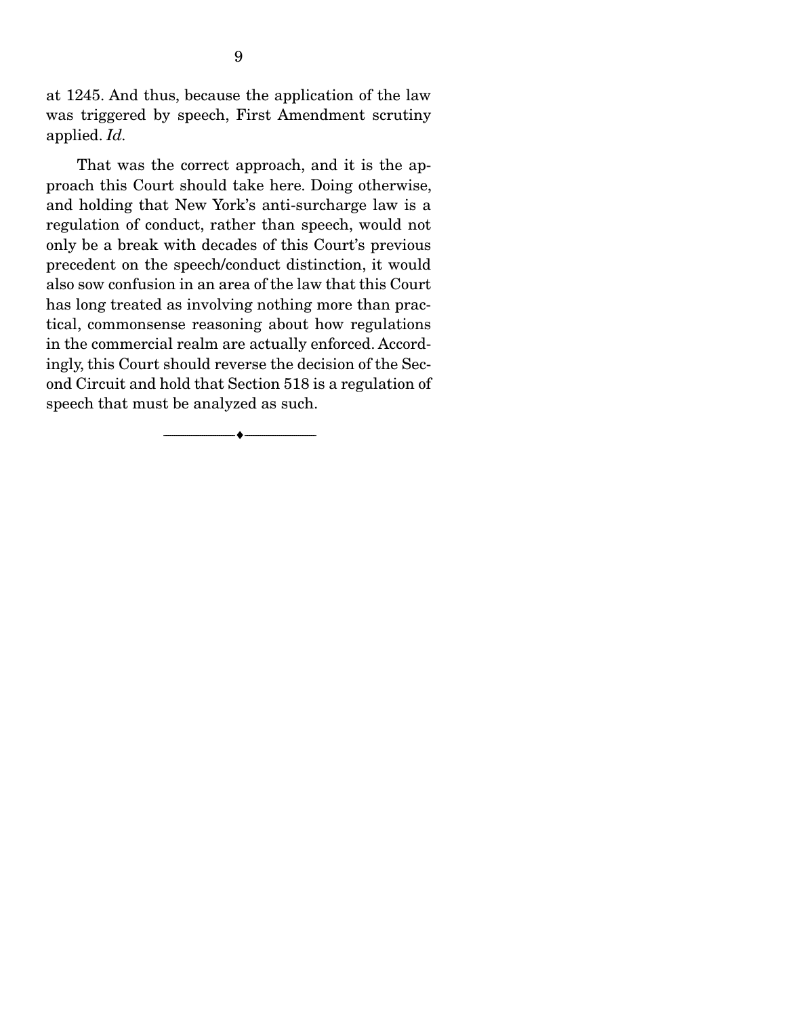at 1245. And thus, because the application of the law was triggered by speech, First Amendment scrutiny applied. *Id.*

 That was the correct approach, and it is the approach this Court should take here. Doing otherwise, and holding that New York's anti-surcharge law is a regulation of conduct, rather than speech, would not only be a break with decades of this Court's previous precedent on the speech/conduct distinction, it would also sow confusion in an area of the law that this Court has long treated as involving nothing more than practical, commonsense reasoning about how regulations in the commercial realm are actually enforced. Accordingly, this Court should reverse the decision of the Second Circuit and hold that Section 518 is a regulation of speech that must be analyzed as such.

--------------------------------- i ---------------------------------